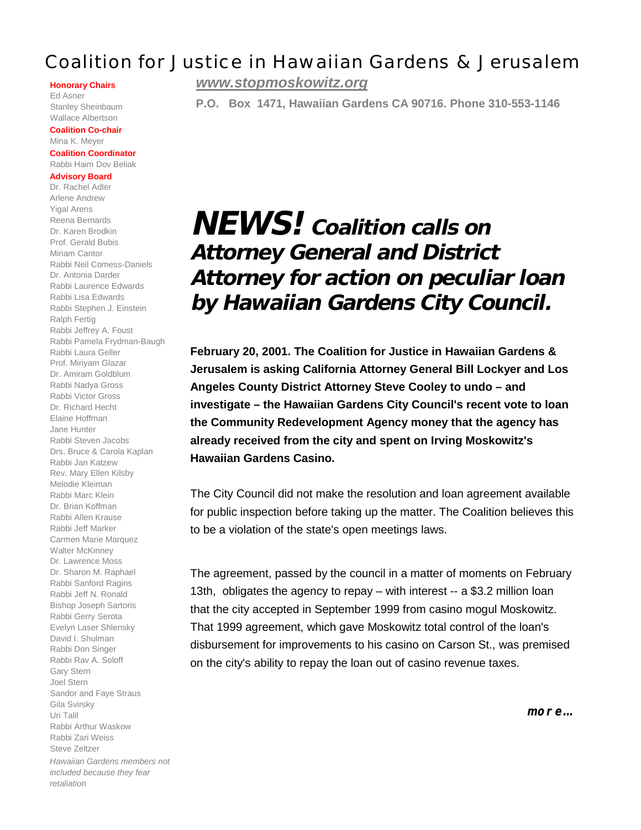## Coalition for Justice in Hawaiian Gardens & Jerusalem

#### **Honorary Chairs**

Ed Asner Stanley Sheinbaum Wallace Albertson

**Coalition Co-chair** Mina K. Meyer

#### **Coalition Coordinator** Rabbi Haim Dov Beliak

#### **Advisory Board**

Dr. Rachel Adler Arlene Andrew Yigal Arens Reena Bernards Dr. Karen Brodkin Prof. Gerald Bubis Miriam Cantor Rabbi Neil Comess-Daniels Dr. Antonia Darder Rabbi Laurence Edwards Rabbi Lisa Edwards Rabbi Stephen J. Einstein Ralph Fertig Rabbi Jeffrey A. Foust Rabbi Pamela Frydman-Baugh Rabbi Laura Geller Prof. Miriyam Glazar Dr. Amiram Goldblum Rabbi Nadya Gross Rabbi Victor Gross Dr. Richard Hecht Elaine Hoffman Jane Hunter Rabbi Steven Jacobs Drs. Bruce & Carola Kaplan Rabbi Jan Katzew Rev. Mary Ellen Kilsby Melodie Kleiman Rabbi Marc Klein Dr. Brian Koffman Rabbi Allen Krause Rabbi Jeff Marker Carmen Marie Marquez Walter McKinney Dr. Lawrence Moss Dr. Sharon M. Raphael Rabbi Sanford Ragins Rabbi Jeff N. Ronald Bishop Joseph Sartoris Rabbi Gerry Serota Evelyn Laser Shlensky David I. Shulman Rabbi Don Singer Rabbi Rav A. Soloff Gary Stern Joel Stern Sandor and Faye Straus Gila Svirsky Uri Talil Rabbi Arthur Waskow Rabbi Zari Weiss Steve Zeltzer *Hawaiian Gardens members not included because they fear retaliation*

*www.stopmoskowitz.org*

**P.O. Box 1471, Hawaiian Gardens CA 90716. Phone 310-553-1146**

# **NEWS! Coalition calls on Attorney General and District Attorney for action on peculiar loan by Hawaiian Gardens City Council.**

**February 20, 2001. The Coalition for Justice in Hawaiian Gardens & Jerusalem is asking California Attorney General Bill Lockyer and Los Angeles County District Attorney Steve Cooley to undo – and investigate – the Hawaiian Gardens City Council's recent vote to loan the Community Redevelopment Agency money that the agency has already received from the city and spent on Irving Moskowitz's Hawaiian Gardens Casino.**

The City Council did not make the resolution and loan agreement available for public inspection before taking up the matter. The Coalition believes this to be a violation of the state's open meetings laws.

The agreement, passed by the council in a matter of moments on February 13th, obligates the agency to repay – with interest -- a \$3.2 million loan that the city accepted in September 1999 from casino mogul Moskowitz. That 1999 agreement, which gave Moskowitz total control of the loan's disbursement for improvements to his casino on Carson St., was premised on the city's ability to repay the loan out of casino revenue taxes.

**more…**